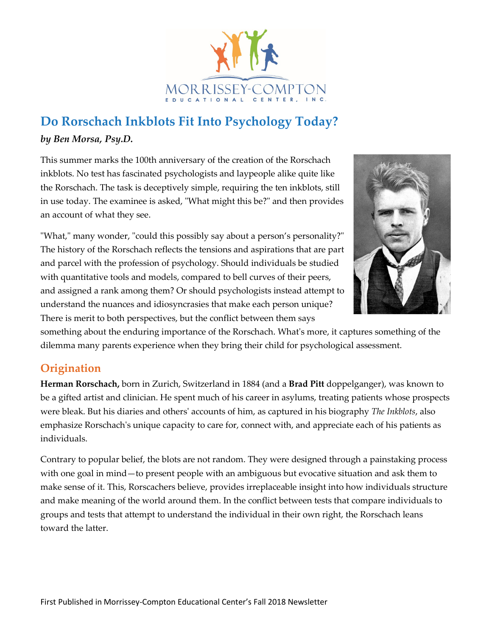

## **Do Rorschach Inkblots Fit Into Psychology Today?** *by Ben Morsa, Psy.D.*

This summer marks the 100th anniversary of the creation of the Rorschach inkblots. No test has fascinated psychologists and laypeople alike quite like the Rorschach. The task is deceptively simple, requiring the ten inkblots, still in use today. The examinee is asked, "What might this be?" and then provides an account of what they see.

"What," many wonder, "could this possibly say about a person's personality?" The history of the Rorschach reflects the tensions and aspirations that are part and parcel with the profession of psychology. Should individuals be studied with quantitative tools and models, compared to bell curves of their peers, and assigned a rank among them? Or should psychologists instead attempt to understand the nuances and idiosyncrasies that make each person unique? There is merit to both perspectives, but the conflict between them says



something about the enduring importance of the Rorschach. What's more, it captures something of the dilemma many parents experience when they bring their child for psychological assessment.

## **Origination**

**Herman Rorschach,** born in Zurich, Switzerland in 1884 (and a **Brad Pitt** doppelganger), was known to be a gifted artist and clinician. He spent much of his career in asylums, treating patients whose prospects were bleak. But his diaries and others' accounts of him, as captured in his biography *The Inkblots*, also emphasize Rorschach's unique capacity to care for, connect with, and appreciate each of his patients as individuals.

Contrary to popular belief, the blots are not random. They were designed through a painstaking process with one goal in mind—to present people with an ambiguous but evocative situation and ask them to make sense of it. This, Rorscachers believe, provides irreplaceable insight into how individuals structure and make meaning of the world around them. In the conflict between tests that compare individuals to groups and tests that attempt to understand the individual in their own right, the Rorschach leans toward the latter.